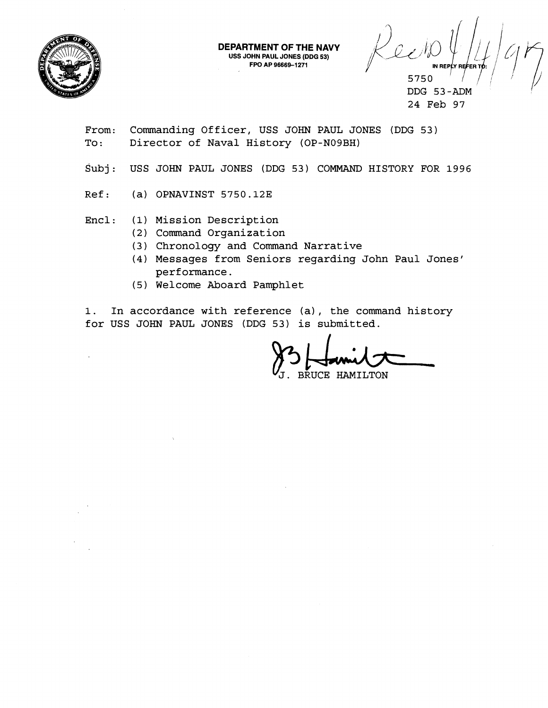

IN REPLY REFER T 5750

DDG 53-ADM 24 Feb 97

From: Commanding Officer, USS JOHN PAUL JONES (DDG 53) To: Director of Naval History (OP-N09BH)

Subj: USS JOHN PAUL JONES (DDG 53) COMMAND HISTORY FOR 1996

**DEPARTMENT OF THE NAVY USS JOHN PAUL JONES (DDG 53) FPO AP 96669-1271** 

 $Ref:$  (a) OPNAVINST 5750.12E

Encl : **(1)** Mission Description

- (2) Command Organization
- (3) Chronology and Command Narrative
- **(4)** Messages from Seniors regarding John Paul Jones' performance.
- (5 ) Welcome Aboard Pamphlet

1. In accordance with reference (a), the command history for USS JOHN PAUL JONES (DDG 53) is submitted.

BRUCE HAMILTON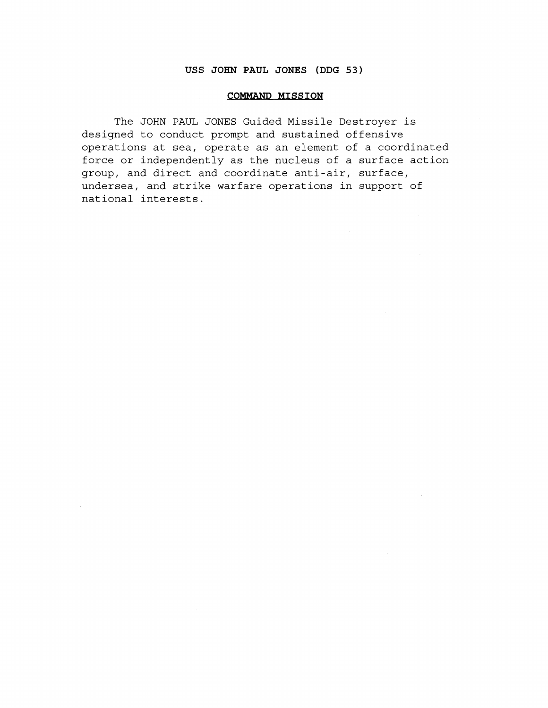# **USS JOHN PAUL JONES (DDG 53)**

#### **COMMAND MISSION**

The JOHN PAUL JONES Guided Missile Destroyer is designed to conduct prompt and sustained offensive operations at sea, operate as an element of a coordinated force or independently as the nucleus of a surface action group, and direct and coordinate anti-air, surface, undersea, and strike warfare operations in support of national interests.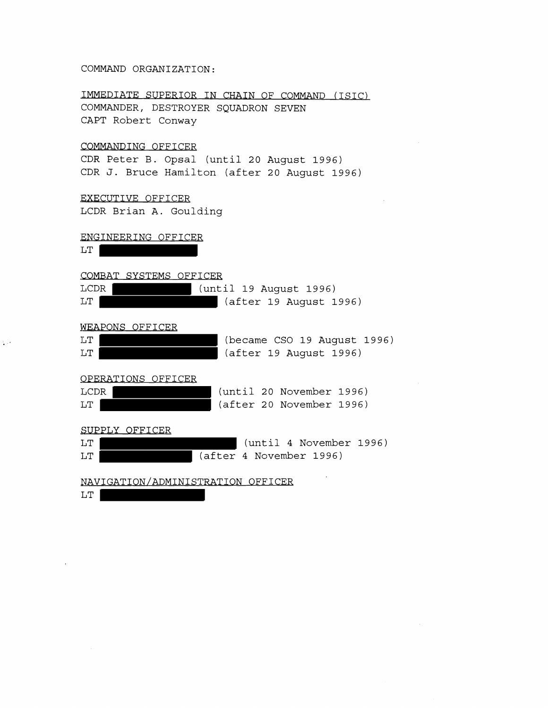#### COMMAND ORGANIZATION:

IMMEDIATE SUPERIOR IN CHAIN OF COMMAND (ISIC) COMMANDER, DESTROYER SQUADRON SEVEN CAPT Robert Conway

# COMMANDING OFFICER

CDR Peter B. Opsal (until 20 August 1996) CDR J. Bruce Hamilton (after 20 August 1996)

## EXECUTIVE OFFICER

LCDR Brian A. Goulding

## ENGINEERING OFFICER

LT **Europe** 

фÜ

#### COMBAT SYSTEMS OFFICER

| LCDR | (until 19 August 1996) |
|------|------------------------|
| LT   | (after 19 August 1996) |

## WEAPONS OFFICER

| LT | (became CSO 19 August 1996) |  |  |
|----|-----------------------------|--|--|
| LT | (after 19 August 1996)      |  |  |

#### OPERATIONS OFFICER

| LCDR |  | (until 20 November 1996) |  |
|------|--|--------------------------|--|
| LT   |  | (after 20 November 1996) |  |

SUPPLY OFFICER

| LT |  |  | (until 4 November 1996) |
|----|--|--|-------------------------|
| LT |  |  | (after 4 November 1996) |

NAVIGATION/ADMINISTRATION OFFICER

 $LT$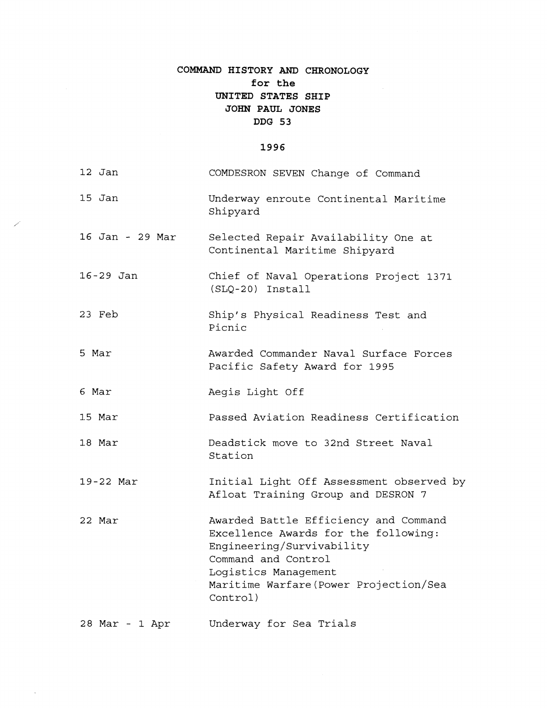# **COMMAND HISTORY AND CHRONOLOGY for the UNITED STATES SHIP JOHN PAUL JONES DDG 53**

## 1996

| 12 Jan          | COMDESRON SEVEN Change of Command                                                                                                                                                                               |
|-----------------|-----------------------------------------------------------------------------------------------------------------------------------------------------------------------------------------------------------------|
| 15 Jan          | Underway enroute Continental Maritime<br>Shipyard                                                                                                                                                               |
| 16 Jan - 29 Mar | Selected Repair Availability One at<br>Continental Maritime Shipyard                                                                                                                                            |
| 16-29 Jan       | Chief of Naval Operations Project 1371<br>$(SLQ-20)$ Install                                                                                                                                                    |
| 23 Feb          | Ship's Physical Readiness Test and<br>Picnic                                                                                                                                                                    |
| 5 Mar           | Awarded Commander Naval Surface Forces<br>Pacific Safety Award for 1995                                                                                                                                         |
| 6 Mar           | Aegis Light Off                                                                                                                                                                                                 |
| 15 Mar          | Passed Aviation Readiness Certification                                                                                                                                                                         |
| 18 Mar          | Deadstick move to 32nd Street Naval<br>Station                                                                                                                                                                  |
| 19-22 Mar       | Initial Light Off Assessment observed by<br>Afloat Training Group and DESRON 7                                                                                                                                  |
| 22 Mar          | Awarded Battle Efficiency and Command<br>Excellence Awards for the following:<br>Engineering/Survivability<br>Command and Control<br>Logistics Management<br>Maritime Warfare (Power Projection/Sea<br>Control) |
| 28 Mar - 1 Apr  | Underway for Sea Trials                                                                                                                                                                                         |

 $\bar{\mathcal{A}}$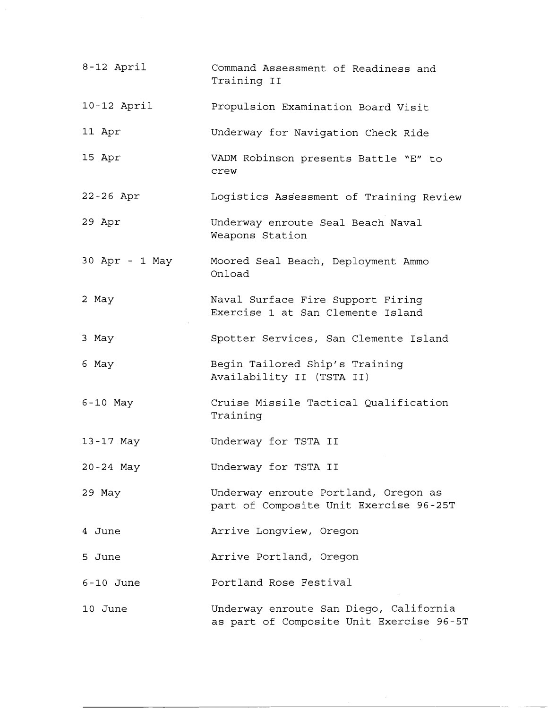| 8-12 April     | Command Assessment of Readiness and<br>Training II                                 |
|----------------|------------------------------------------------------------------------------------|
| $10-12$ April  | Propulsion Examination Board Visit                                                 |
| 11 Apr         | Underway for Navigation Check Ride                                                 |
| 15 Apr         | VADM Robinson presents Battle "E" to<br>crew                                       |
| $22 - 26$ Apr  | Logistics Assessment of Training Review                                            |
| 29 Apr         | Underway enroute Seal Beach Naval<br>Weapons Station                               |
| 30 Apr - 1 May | Moored Seal Beach, Deployment Ammo<br>Onload                                       |
| 2 May          | Naval Surface Fire Support Firing<br>Exercise 1 at San Clemente Island             |
| 3 May          | Spotter Services, San Clemente Island                                              |
| 6 May          | Begin Tailored Ship's Training<br>Availability II (TSTA II)                        |
| $6-10$ May     | Cruise Missile Tactical Qualification<br>Training                                  |
| 13-17 May      | Underway for TSTA II                                                               |
| 20-24 May      | Underway for TSTA II                                                               |
| 29 May         | Underway enroute Portland, Oregon as<br>part of Composite Unit Exercise 96-25T     |
| 4 June         | Arrive Longview, Oregon                                                            |
| 5 June         | Arrive Portland, Oregon                                                            |
| $6-10$ June    | Portland Rose Festival                                                             |
| 10 June        | Underway enroute San Diego, California<br>as part of Composite Unit Exercise 96-5T |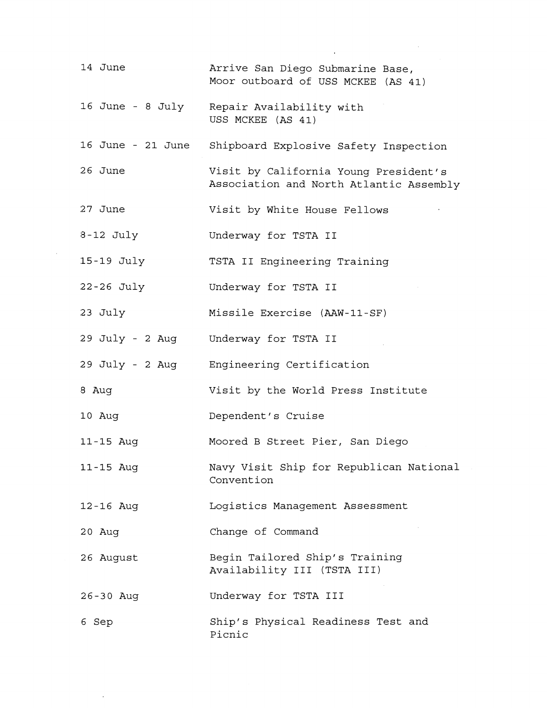| 14 June           | Arrive San Diego Submarine Base,<br>Moor outboard of USS MCKEE (AS 41)           |
|-------------------|----------------------------------------------------------------------------------|
|                   | 16 June - 8 July Repair Availability with<br>USS MCKEE (AS 41)                   |
| 16 June - 21 June | Shipboard Explosive Safety Inspection                                            |
| 26 June           | Visit by California Young President's<br>Association and North Atlantic Assembly |
| 27 June           | Visit by White House Fellows                                                     |
| $8-12$ July       | Underway for TSTA II                                                             |
| 15-19 July        | TSTA II Engineering Training                                                     |
| $22 - 26$ July    | Underway for TSTA II                                                             |
| 23 July           | Missile Exercise (AAW-11-SF)                                                     |
|                   | 29 July - 2 Aug Underway for TSTA II                                             |
|                   | 29 July - 2 Aug Engineering Certification                                        |
| 8 Aug             | Visit by the World Press Institute                                               |
| 10 Aug            | Dependent's Cruise                                                               |
| 11-15 Aug         | Moored B Street Pier, San Diego                                                  |
| 11-15 Aug         | Navy Visit Ship for Republican National<br>Convention                            |
| 12-16 Aug         | Logistics Management Assessment                                                  |
| 20 Aug            | Change of Command                                                                |
| 26 August         | Begin Tailored Ship's Training<br>Availability III (TSTA III)                    |
| 26-30 Aug         | Underway for TSTA III                                                            |
| 6 Sep             | Ship's Physical Readiness Test and<br>Picnic                                     |

 $\sim$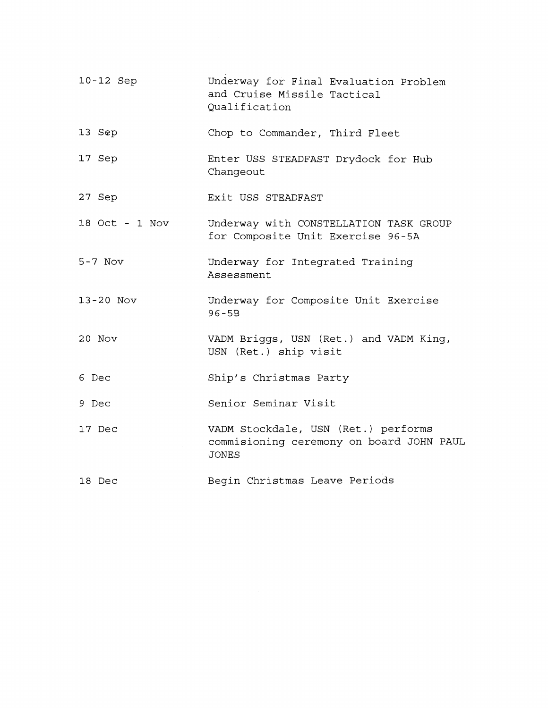| 10-12 Sep      | Underway for Final Evaluation Problem<br>and Cruise Missile Tactical<br>Qualification           |
|----------------|-------------------------------------------------------------------------------------------------|
| 13 Sep         | Chop to Commander, Third Fleet                                                                  |
| 17 Sep         | Enter USS STEADFAST Drydock for Hub<br>Changeout                                                |
| 27 Sep         | Exit USS STEADFAST                                                                              |
| 18 Oct - 1 Nov | Underway with CONSTELLATION TASK GROUP<br>for Composite Unit Exercise 96-5A                     |
| $5 - 7$ Nov    | Underway for Integrated Training<br>Assessment                                                  |
| $13 - 20$ Nov  | Underway for Composite Unit Exercise<br>$96 - 5B$                                               |
| 20 Nov         | VADM Briggs, USN (Ret.) and VADM King,<br>USN (Ret.) ship visit                                 |
| 6 Dec          | Ship's Christmas Party                                                                          |
| 9 Dec          | Senior Seminar Visit                                                                            |
| 17 Dec         | VADM Stockdale, USN (Ret.) performs<br>commisioning ceremony on board JOHN PAUL<br><b>JONES</b> |
| 18 Dec         | Begin Christmas Leave Periods                                                                   |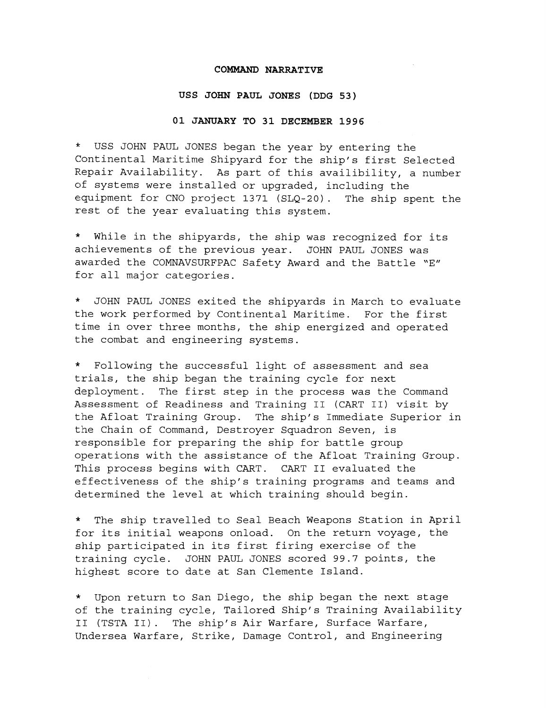#### **COMMAND NARRATIVE**

#### **USS JOHN PAUL JONES (DDG 53)**

#### **01 JANUARY TO 31 DECEMBER 1996**

\* USS JOHN PAUL JONES began the year by entering the Continental Maritime Shipyard for the ship's first Selected Repair Availability. As part of this availibility, a number of systems were installed or upgraded, including the equipment for CNO project 1371 (SLQ-20). The ship spent the rest of the year evaluating this system.

\* While in the shipyards, the ship was recognized for its achievements of the previous year. JOHN PAUL JONES was awarded the COMNAVSURFPAC Safety Award and the Battle "E" for all major categories.

\* JOHN PAUL JONES exited the shipyards in March to evaluate the work performed by Continental Maritime. For the first time in over three months, the ship energized and operated the combat and engineering systems.

\* Following the successful light of assessment and sea trials, the ship began the training cycle for next deployment. The first step in the process was the Command Assessment of Readiness and Training I1 (CART 11) visit by the Afloat Training Group. The ship's Immediate Superior in the Chain of Command, Destroyer Squadron Seven, is responsible for preparing the ship for battle group operations with the assistance of the Afloat Training Group. This process begins with CART. CART I1 evaluated the effectiveness of the ship's training programs and teams and determined the level at which training should begin.

\* The ship travelled to Seal Beach Weapons Station in April for its initial weapons onload. On the return voyage, the ship participated in its first firing exercise of the training cycle. JOHN PAUL JONES scored 99.7 points, the highest score to date at San Clemente Island.

\* Upon return to San Diego, the ship began the next stage of the training cycle, Tailored Ship's Training Availability I1 (TSTA 11) . The ship's Air Warfare, Surface Warfare, Undersea Warfare, Strike, Damage Control, and Engineering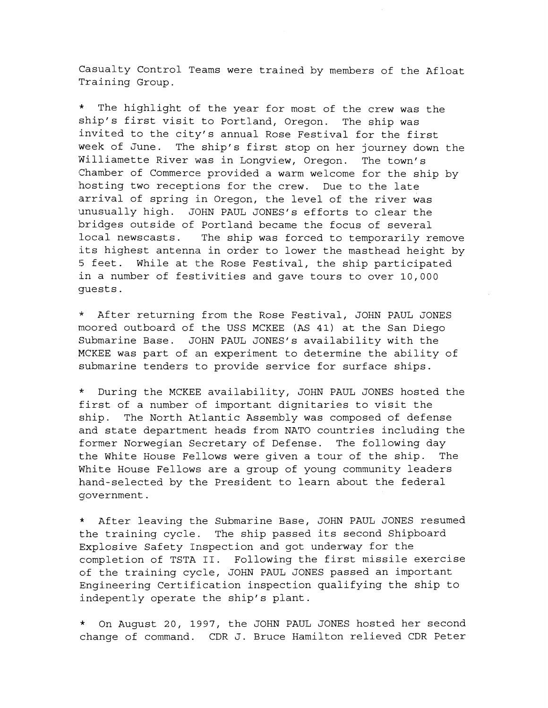Casualty Control Teams were trained by members of the Afloat Training Group.

\* The highlight of the year for most of the crew was the ship's first visit to Portland, Oregon. The ship was invited to the city's annual Rose Festival for the first week of June. The ship's first stop on her journey down the Williamette River was in Longview, Oregon. The town's Chamber of Commerce provided a warm welcome for the ship by hosting two receptions for the crew. Due to the late arrival of spring in Oregon, the level of the river was unusually high. JOHN PAUL JONES'S efforts to clear the bridges outside of Portland became the focus of several local newscasts. The ship was forced to temporarily remove its highest antenna in order to lower the masthead height by 5 feet. While at the Rose Festival, the ship participated in a number of festivities and gave tours to over 10,000 guests.

**7k** After returning from the Rose Festival, JOHN PAUL JONES moored outboard of the USS MCKEE (AS 41) at the San Diego Submarine Base. JOHN PAUL JONES'S availability with the MCKEE was part of an experiment to determine the ability of submarine tenders to provide service for surface ships.

During the MCKEE availability, JOHN PAUL JONES hosted the first of a number of important dignitaries to visit the ship. The North Atlantic Assembly was composed of defense and state department heads from NATO countries including the former Norwegian Secretary of Defense. The following day the White House Fellows were given a tour of the ship. The White House Fellows are a group of young community leaders hand-selected by the President to learn about the federal government.

\* After leaving the Submarine Base, JOHN PAUL JONES resumed the training cycle. The ship passed its second Shipboard Explosive Safety Inspection and got underway for the completion of TSTA 11. Following the first missile exercise of the training cycle, JOHN PAUL JONES passed an important Engineering Certification inspection qualifying the ship to indepently operate the ship's plant.

\* On August 20, 1997, the JOHN PAUL JONES hosted her second change of command. CDR J. Bruce Hamilton relieved CDR Peter